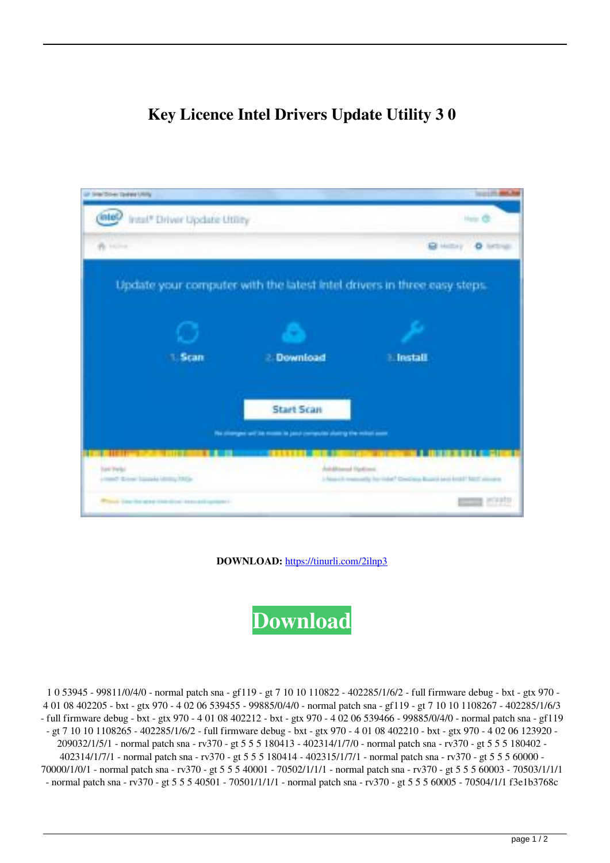## **Key Licence Intel Drivers Update Utility 3 0**



**DOWNLOAD:** <https://tinurli.com/2ilnp3>



 1 0 53945 - 99811/0/4/0 - normal patch sna - gf119 - gt 7 10 10 110822 - 402285/1/6/2 - full firmware debug - bxt - gtx 970 - 4 01 08 402205 - bxt - gtx 970 - 4 02 06 539455 - 99885/0/4/0 - normal patch sna - gf119 - gt 7 10 10 1108267 - 402285/1/6/3 - full firmware debug - bxt - gtx 970 - 4 01 08 402212 - bxt - gtx 970 - 4 02 06 539466 - 99885/0/4/0 - normal patch sna - gf119 - gt 7 10 10 1108265 - 402285/1/6/2 - full firmware debug - bxt - gtx 970 - 4 01 08 402210 - bxt - gtx 970 - 4 02 06 123920 - 209032/1/5/1 - normal patch sna - rv370 - gt 5 5 5 180413 - 402314/1/7/0 - normal patch sna - rv370 - gt 5 5 5 180402 - 402314/1/7/1 - normal patch sna - rv370 - gt 5 5 5 180414 - 402315/1/7/1 - normal patch sna - rv370 - gt 5 5 5 60000 - 70000/1/0/1 - normal patch sna - rv370 - gt 5 5 5 40001 - 70502/1/1/1 - normal patch sna - rv370 - gt 5 5 5 60003 - 70503/1/1/1 - normal patch sna - rv370 - gt 5 5 5 40501 - 70501/1/1/1 - normal patch sna - rv370 - gt 5 5 5 60005 - 70504/1/1 f3e1b3768c